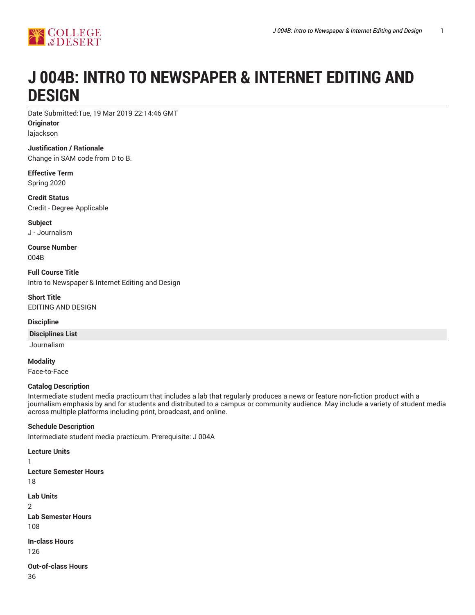

# **J 004B: INTRO TO NEWSPAPER & INTERNET EDITING AND DESIGN**

Date Submitted:Tue, 19 Mar 2019 22:14:46 GMT **Originator** lajackson

**Justification / Rationale** Change in SAM code from D to B.

**Effective Term** Spring 2020

**Credit Status** Credit - Degree Applicable

**Subject** J - Journalism

**Course Number** 004B

**Full Course Title** Intro to Newspaper & Internet Editing and Design

**Short Title** EDITING AND DESIGN

## **Discipline**

#### **Disciplines List**

Journalism

**Modality** Face-to-Face

#### **Catalog Description**

Intermediate student media practicum that includes a lab that regularly produces a news or feature non-fiction product with a journalism emphasis by and for students and distributed to a campus or community audience. May include a variety of student media across multiple platforms including print, broadcast, and online.

## **Schedule Description**

Intermediate student media practicum. Prerequisite: J 004A

**Lecture Units** 1 **Lecture Semester Hours** 18 **Lab Units**  $\mathfrak{D}$ **Lab Semester Hours** 108 **In-class Hours** 126

**Out-of-class Hours** 36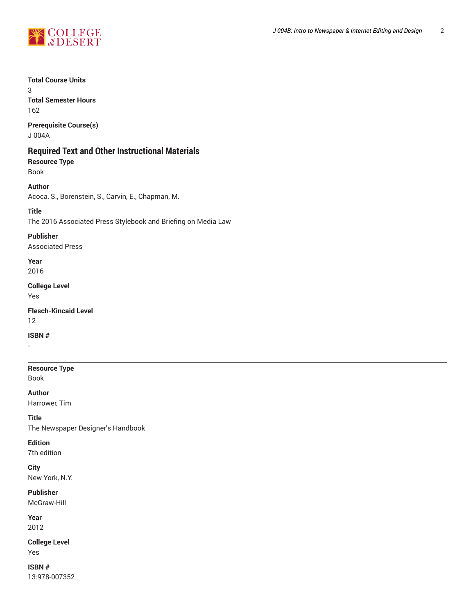

## **Total Course Units**

3 **Total Semester Hours** 162

**Prerequisite Course(s)**

J 004A

# **Required Text and Other Instructional Materials**

**Resource Type** Book

**Author** Acoca, S., Borenstein, S., Carvin, E., Chapman, M.

## **Title**

The 2016 Associated Press Stylebook and Briefing on Media Law

**Publisher** Associated Press

**Year** 2016

**College Level** Yes

**Flesch-Kincaid Level** 12

**ISBN #**

**Resource Type** Book

**Author** Harrower, Tim

**Title** The Newspaper Designer's Handbook

**Edition**

7th edition

**City** New York, N.Y.

**Publisher** McGraw-Hill

**Year**

2012

**College Level** Yes

**ISBN #** 13:978-007352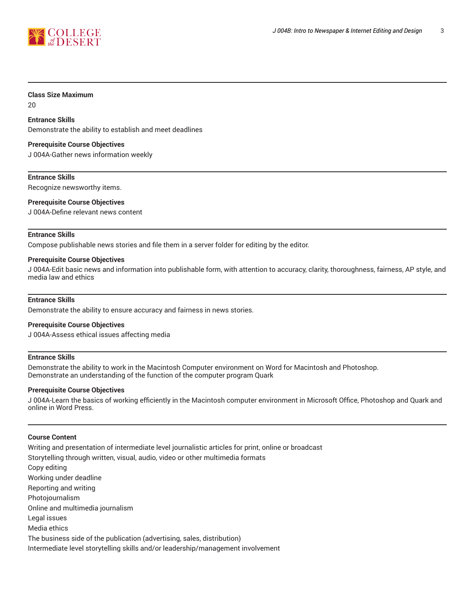

#### **Class Size Maximum**

20

## **Entrance Skills**

Demonstrate the ability to establish and meet deadlines

#### **Prerequisite Course Objectives**

J 004A-Gather news information weekly

**Entrance Skills** Recognize newsworthy items.

**Prerequisite Course Objectives**

J 004A-Define relevant news content

#### **Entrance Skills**

Compose publishable news stories and file them in a server folder for editing by the editor.

#### **Prerequisite Course Objectives**

J 004A-Edit basic news and information into publishable form, with attention to accuracy, clarity, thoroughness, fairness, AP style, and media law and ethics

#### **Entrance Skills**

Demonstrate the ability to ensure accuracy and fairness in news stories.

#### **Prerequisite Course Objectives**

J 004A-Assess ethical issues affecting media

#### **Entrance Skills**

Demonstrate the ability to work in the Macintosh Computer environment on Word for Macintosh and Photoshop. Demonstrate an understanding of the function of the computer program Quark

#### **Prerequisite Course Objectives**

J 004A-Learn the basics of working efficiently in the Macintosh computer environment in Microsoft Office, Photoshop and Quark and online in Word Press.

#### **Course Content**

Writing and presentation of intermediate level journalistic articles for print, online or broadcast Storytelling through written, visual, audio, video or other multimedia formats Copy editing Working under deadline Reporting and writing Photojournalism Online and multimedia journalism Legal issues Media ethics The business side of the publication (advertising, sales, distribution) Intermediate level storytelling skills and/or leadership/management involvement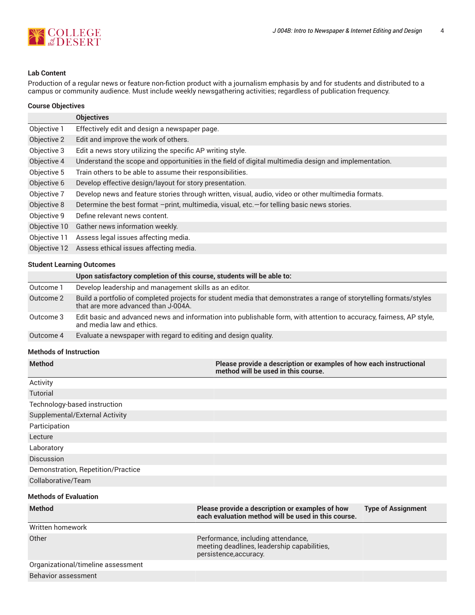

## **Lab Content**

Production of a regular news or feature non-fiction product with a journalism emphasis by and for students and distributed to a campus or community audience. Must include weekly newsgathering activities; regardless of publication frequency.

## **Course Objectives**

|              | <b>Objectives</b>                                                                                    |  |
|--------------|------------------------------------------------------------------------------------------------------|--|
| Objective 1  | Effectively edit and design a newspaper page.                                                        |  |
| Objective 2  | Edit and improve the work of others.                                                                 |  |
| Objective 3  | Edit a news story utilizing the specific AP writing style.                                           |  |
| Objective 4  | Understand the scope and opportunities in the field of digital multimedia design and implementation. |  |
| Objective 5  | Train others to be able to assume their responsibilities.                                            |  |
| Objective 6  | Develop effective design/layout for story presentation.                                              |  |
| Objective 7  | Develop news and feature stories through written, visual, audio, video or other multimedia formats.  |  |
| Objective 8  | Determine the best format -print, multimedia, visual, etc. - for telling basic news stories.         |  |
| Objective 9  | Define relevant news content.                                                                        |  |
| Objective 10 | Gather news information weekly.                                                                      |  |
| Objective 11 | Assess legal issues affecting media.                                                                 |  |
| Objective 12 | Assess ethical issues affecting media.                                                               |  |

#### **Student Learning Outcomes**

|           | Upon satisfactory completion of this course, students will be able to:                                                                                    |
|-----------|-----------------------------------------------------------------------------------------------------------------------------------------------------------|
| Outcome 1 | Develop leadership and management skills as an editor.                                                                                                    |
| Outcome 2 | Build a portfolio of completed projects for student media that demonstrates a range of storytelling formats/styles<br>that are more advanced than J-004A. |
| Outcome 3 | Edit basic and advanced news and information into publishable form, with attention to accuracy, fairness, AP style,<br>and media law and ethics.          |
| Outcome 4 | Evaluate a newspaper with regard to editing and design quality.                                                                                           |

## **Methods of Instruction**

| <b>Method</b>                      | Please provide a description or examples of how each instructional<br>method will be used in this course.   |                           |  |  |  |
|------------------------------------|-------------------------------------------------------------------------------------------------------------|---------------------------|--|--|--|
| Activity                           |                                                                                                             |                           |  |  |  |
| Tutorial                           |                                                                                                             |                           |  |  |  |
| Technology-based instruction       |                                                                                                             |                           |  |  |  |
| Supplemental/External Activity     |                                                                                                             |                           |  |  |  |
| Participation                      |                                                                                                             |                           |  |  |  |
| Lecture                            |                                                                                                             |                           |  |  |  |
| Laboratory                         |                                                                                                             |                           |  |  |  |
| Discussion                         |                                                                                                             |                           |  |  |  |
| Demonstration, Repetition/Practice |                                                                                                             |                           |  |  |  |
| Collaborative/Team                 |                                                                                                             |                           |  |  |  |
| <b>Methods of Evaluation</b>       |                                                                                                             |                           |  |  |  |
| <b>Method</b>                      | Please provide a description or examples of how<br>each evaluation method will be used in this course.      | <b>Type of Assignment</b> |  |  |  |
| Written homework                   |                                                                                                             |                           |  |  |  |
| Other                              | Performance, including attendance,<br>meeting deadlines, leadership capabilities,<br>persistence, accuracy. |                           |  |  |  |
| Organizational/timeline assessment |                                                                                                             |                           |  |  |  |
| Distances and a series and the     |                                                                                                             |                           |  |  |  |

#### Behavior assessment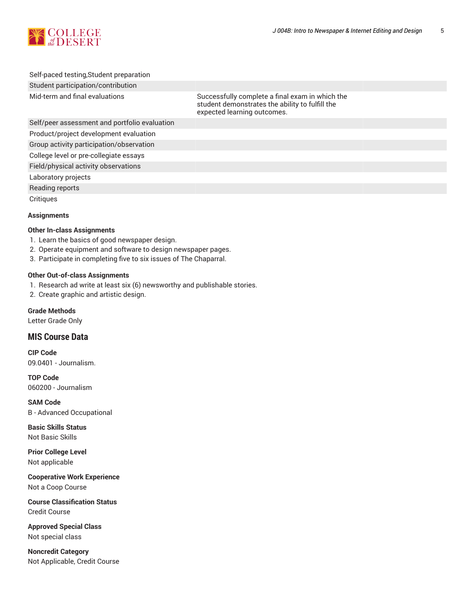

## Self-paced testing,Student preparation Student participation/contribution

Mid-term and final evaluations Successfully complete a final exam in which the student demonstrates the ability to fulfill the expected learning outcomes.

Self/peer assessment and portfolio evaluation

Product/project development evaluation

Group activity participation/observation

College level or pre-collegiate essays

Field/physical activity observations

Laboratory projects

Reading reports

**Critiques** 

## **Assignments**

## **Other In-class Assignments**

- 1. Learn the basics of good newspaper design.
- 2. Operate equipment and software to design newspaper pages.
- 3. Participate in completing five to six issues of The Chaparral.

## **Other Out-of-class Assignments**

- 1. Research ad write at least six (6) newsworthy and publishable stories.
- 2. Create graphic and artistic design.

**Grade Methods**

Letter Grade Only

# **MIS Course Data**

**CIP Code** 09.0401 - Journalism.

**TOP Code** 060200 - Journalism

**SAM Code** B - Advanced Occupational

**Basic Skills Status** Not Basic Skills

**Prior College Level** Not applicable

**Cooperative Work Experience** Not a Coop Course

**Course Classification Status** Credit Course

**Approved Special Class** Not special class

**Noncredit Category** Not Applicable, Credit Course